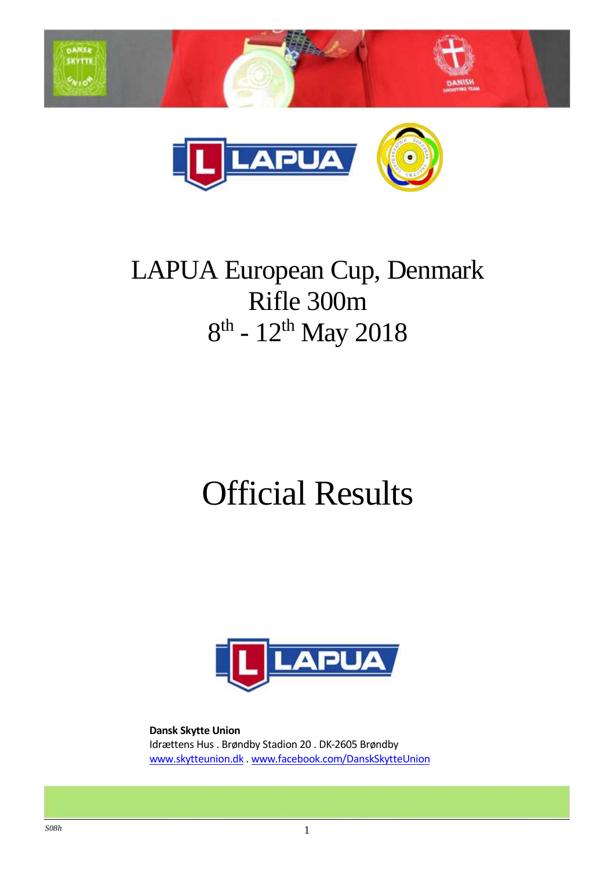



## LAPUA European Cup, Denmark Rifle 300m 8<sup>th</sup> - 12<sup>th</sup> May 2018

# Official Results



**Dansk Skytte Union** Idrættens Hus . Brøndby Stadion 20 . DK-2605 Brøndby www.skytteunion.dk . www.facebook.com/DanskSkytteUnion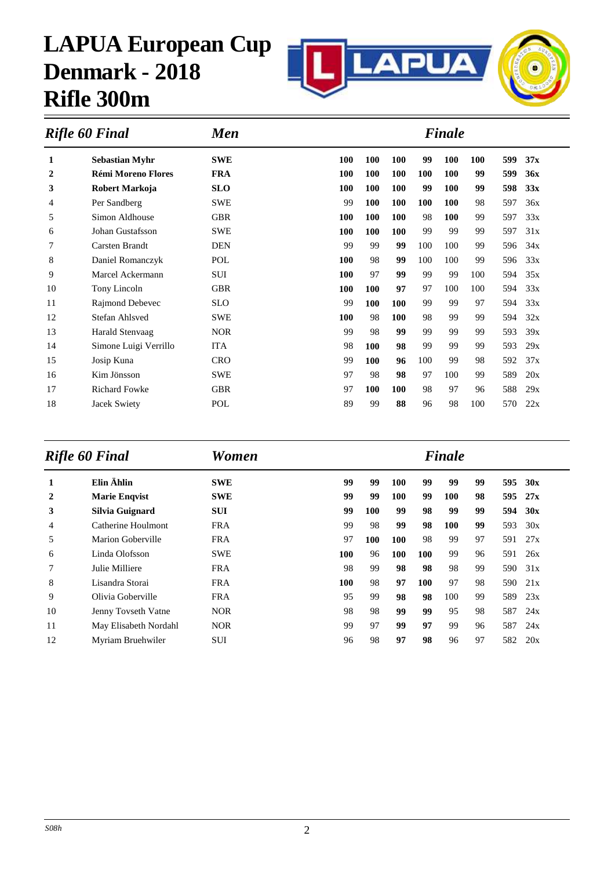

| <b>Men</b><br>Rifle 60 Final |                           |            |            | <b>Finale</b> |            |     |            |            |     |     |  |  |  |
|------------------------------|---------------------------|------------|------------|---------------|------------|-----|------------|------------|-----|-----|--|--|--|
| 1                            | <b>Sebastian Myhr</b>     | <b>SWE</b> | 100        | 100           | <b>100</b> | 99  | <b>100</b> | <b>100</b> | 599 | 37x |  |  |  |
| 2                            | <b>Rémi Moreno Flores</b> | <b>FRA</b> | <b>100</b> | 100           | <b>100</b> | 100 | <b>100</b> | 99         | 599 | 36x |  |  |  |
| 3                            | Robert Markoja            | <b>SLO</b> | 100        | <b>100</b>    | <b>100</b> | 99  | <b>100</b> | 99         | 598 | 33x |  |  |  |
| 4                            | Per Sandberg              | <b>SWE</b> | 99         | 100           | <b>100</b> | 100 | 100        | 98         | 597 | 36x |  |  |  |
| 5                            | Simon Aldhouse            | <b>GBR</b> | 100        | 100           | <b>100</b> | 98  | 100        | 99         | 597 | 33x |  |  |  |
| 6                            | Johan Gustafsson          | <b>SWE</b> | 100        | 100           | 100        | 99  | 99         | 99         | 597 | 31x |  |  |  |
| 7                            | Carsten Brandt            | <b>DEN</b> | 99         | 99            | 99         | 100 | 100        | 99         | 596 | 34x |  |  |  |
| 8                            | Daniel Romanczyk          | POL        | 100        | 98            | 99         | 100 | 100        | 99         | 596 | 33x |  |  |  |
| 9                            | Marcel Ackermann          | SUI        | 100        | 97            | 99         | 99  | 99         | 100        | 594 | 35x |  |  |  |
| 10                           | Tony Lincoln              | <b>GBR</b> | 100        | 100           | 97         | 97  | 100        | 100        | 594 | 33x |  |  |  |
| 11                           | Rajmond Debevec           | <b>SLO</b> | 99         | 100           | 100        | 99  | 99         | 97         | 594 | 33x |  |  |  |
| 12                           | Stefan Ahlsved            | <b>SWE</b> | <b>100</b> | 98            | <b>100</b> | 98  | 99         | 99         | 594 | 32x |  |  |  |
| 13                           | Harald Stenvaag           | <b>NOR</b> | 99         | 98            | 99         | 99  | 99         | 99         | 593 | 39x |  |  |  |
| 14                           | Simone Luigi Verrillo     | <b>ITA</b> | 98         | <b>100</b>    | 98         | 99  | 99         | 99         | 593 | 29x |  |  |  |
| 15                           | Josip Kuna                | <b>CRO</b> | 99         | 100           | 96         | 100 | 99         | 98         | 592 | 37x |  |  |  |
| 16                           | Kim Jönsson               | <b>SWE</b> | 97         | 98            | 98         | 97  | 100        | 99         | 589 | 20x |  |  |  |
| 17                           | <b>Richard Fowke</b>      | <b>GBR</b> | 97         | 100           | 100        | 98  | 97         | 96         | 588 | 29x |  |  |  |
| 18                           | Jacek Swiety              | POL        | 89         | 99            | 88         | 96  | 98         | 100        | 570 | 22x |  |  |  |
|                              |                           |            |            |               |            |     |            |            |     |     |  |  |  |

| Rifle 60 Final |                       | Women      |     |            |            |     | Finale     |    |     |     |
|----------------|-----------------------|------------|-----|------------|------------|-----|------------|----|-----|-----|
| 1              | Elin Ählin            | <b>SWE</b> | 99  | 99         | <b>100</b> | 99  | 99         | 99 | 595 | 30x |
| 2              | <b>Marie Engvist</b>  | <b>SWE</b> | 99  | 99         | <b>100</b> | 99  | <b>100</b> | 98 | 595 | 27x |
| 3              | Silvia Guignard       | <b>SUI</b> | 99  | 100        | 99         | 98  | 99         | 99 | 594 | 30x |
| 4              | Catherine Houlmont    | <b>FRA</b> | 99  | 98         | 99         | 98  | 100        | 99 | 593 | 30x |
| 5              | Marion Goberville     | <b>FRA</b> | 97  | <b>100</b> | 100        | 98  | 99         | 97 | 591 | 27x |
| 6              | Linda Olofsson        | <b>SWE</b> | 100 | 96         | 100        | 100 | 99         | 96 | 591 | 26x |
| 7              | Julie Milliere        | <b>FRA</b> | 98  | 99         | 98         | 98  | 98         | 99 | 590 | 31x |
| 8              | Lisandra Storai       | <b>FRA</b> | 100 | 98         | 97         | 100 | 97         | 98 | 590 | 21x |
| 9              | Olivia Goberville     | <b>FRA</b> | 95  | 99         | 98         | 98  | 100        | 99 | 589 | 23x |
| 10             | Jenny Tovseth Vatne   | <b>NOR</b> | 98  | 98         | 99         | 99  | 95         | 98 | 587 | 24x |
| 11             | May Elisabeth Nordahl | <b>NOR</b> | 99  | 97         | 99         | 97  | 99         | 96 | 587 | 24x |
| 12             | Myriam Bruehwiler     | <b>SUI</b> | 96  | 98         | 97         | 98  | 96         | 97 | 582 | 20x |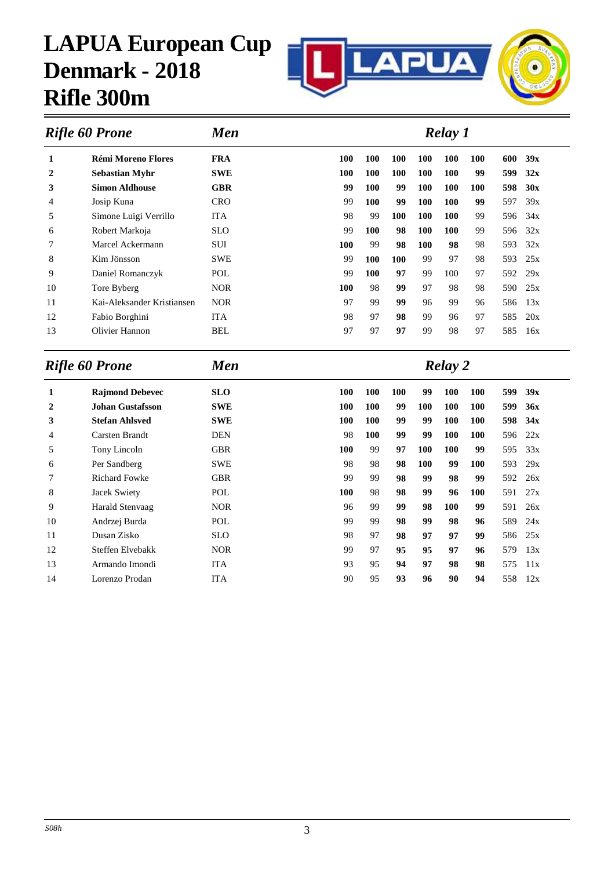

| <b>Men</b><br><b>Rifle 60 Prone</b> |                            |            |     | Relay 1    |            |            |            |            |     |     |  |  |
|-------------------------------------|----------------------------|------------|-----|------------|------------|------------|------------|------------|-----|-----|--|--|
| 1                                   | <b>Rémi Moreno Flores</b>  | <b>FRA</b> | 100 | <b>100</b> | <b>100</b> | <b>100</b> | 100        | 100        | 600 | 39x |  |  |
| 2                                   | <b>Sebastian Myhr</b>      | <b>SWE</b> | 100 | <b>100</b> | <b>100</b> | <b>100</b> | 100        | 99         | 599 | 32x |  |  |
| 3                                   | <b>Simon Aldhouse</b>      | <b>GBR</b> | 99  | <b>100</b> | 99         | 100        | 100        | <b>100</b> | 598 | 30x |  |  |
| 4                                   | Josip Kuna                 | <b>CRO</b> | 99  | <b>100</b> | 99         | 100        | <b>100</b> | 99         | 597 | 39x |  |  |
| 5                                   | Simone Luigi Verrillo      | <b>ITA</b> | 98  | 99         | <b>100</b> | <b>100</b> | <b>100</b> | 99         | 596 | 34x |  |  |
| 6                                   | Robert Markoja             | <b>SLO</b> | 99  | <b>100</b> | 98         | <b>100</b> | <b>100</b> | 99         | 596 | 32x |  |  |
| 7                                   | Marcel Ackermann           | <b>SUI</b> | 100 | 99         | 98         | <b>100</b> | 98         | 98         | 593 | 32x |  |  |
| 8                                   | Kim Jönsson                | <b>SWE</b> | 99  | <b>100</b> | <b>100</b> | 99         | 97         | 98         | 593 | 25x |  |  |
| 9                                   | Daniel Romanczyk           | POL        | 99  | <b>100</b> | 97         | 99         | 100        | 97         | 592 | 29x |  |  |
| 10                                  | Tore Byberg                | <b>NOR</b> | 100 | 98         | 99         | 97         | 98         | 98         | 590 | 25x |  |  |
| 11                                  | Kai-Aleksander Kristiansen | <b>NOR</b> | 97  | 99         | 99         | 96         | 99         | 96         | 586 | 13x |  |  |
| 12                                  | Fabio Borghini             | <b>ITA</b> | 98  | 97         | 98         | 99         | 96         | 97         | 585 | 20x |  |  |
| 13                                  | Olivier Hannon             | <b>BEL</b> | 97  | 97         | 97         | 99         | 98         | 97         | 585 | 16x |  |  |

|    | Rifle 60 Prone<br><b>Men</b> |            |            | <b>Relay</b> 2 |     |            |            |            |     |     |  |  |
|----|------------------------------|------------|------------|----------------|-----|------------|------------|------------|-----|-----|--|--|
| 1  | <b>Rajmond Debevec</b>       | <b>SLO</b> | <b>100</b> | <b>100</b>     | 100 | 99         | 100        | 100        | 599 | 39x |  |  |
| 2  | Johan Gustafsson             | <b>SWE</b> | 100        | <b>100</b>     | 99  | 100        | 100        | 100        | 599 | 36x |  |  |
| 3  | <b>Stefan Ahlsved</b>        | <b>SWE</b> | 100        | <b>100</b>     | 99  | 99         | 100        | <b>100</b> | 598 | 34x |  |  |
| 4  | <b>Carsten Brandt</b>        | <b>DEN</b> | 98         | <b>100</b>     | 99  | 99         | <b>100</b> | 100        | 596 | 22x |  |  |
| 5  | Tony Lincoln                 | <b>GBR</b> | 100        | 99             | 97  | <b>100</b> | 100        | 99         | 595 | 33x |  |  |
| 6  | Per Sandberg                 | <b>SWE</b> | 98         | 98             | 98  | <b>100</b> | 99         | 100        | 593 | 29x |  |  |
| 7  | <b>Richard Fowke</b>         | <b>GBR</b> | 99         | 99             | 98  | 99         | 98         | 99         | 592 | 26x |  |  |
| 8  | Jacek Swiety                 | POL        | 100        | 98             | 98  | 99         | 96         | 100        | 591 | 27x |  |  |
| 9  | Harald Stenvaag              | <b>NOR</b> | 96         | 99             | 99  | 98         | 100        | 99         | 591 | 26x |  |  |
| 10 | Andrzej Burda                | POL        | 99         | 99             | 98  | 99         | 98         | 96         | 589 | 24x |  |  |
| 11 | Dusan Zisko                  | <b>SLO</b> | 98         | 97             | 98  | 97         | 97         | 99         | 586 | 25x |  |  |
| 12 | Steffen Elvebakk             | <b>NOR</b> | 99         | 97             | 95  | 95         | 97         | 96         | 579 | 13x |  |  |
| 13 | Armando Imondi               | <b>ITA</b> | 93         | 95             | 94  | 97         | 98         | 98         | 575 | 11x |  |  |
| 14 | Lorenzo Prodan               | <b>ITA</b> | 90         | 95             | 93  | 96         | 90         | 94         | 558 | 12x |  |  |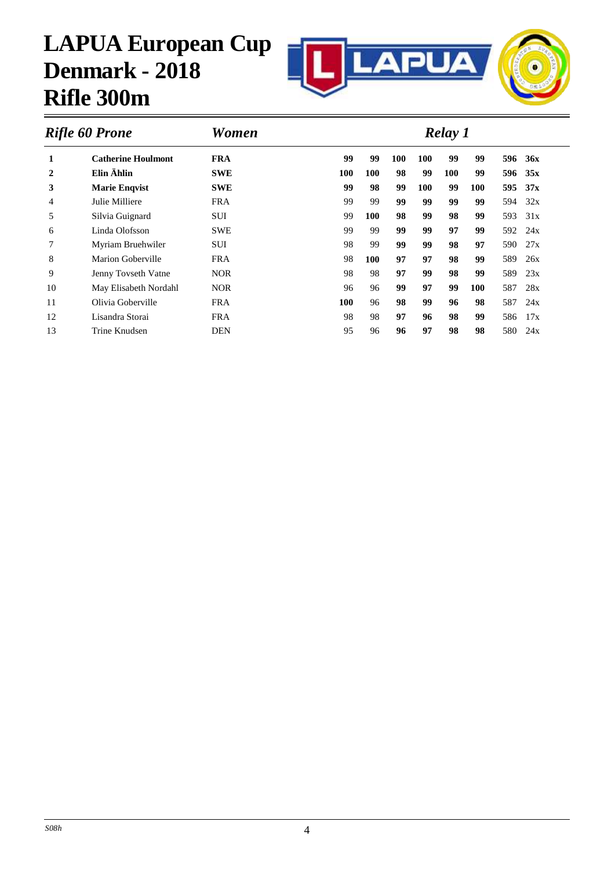

| <b>FRA</b><br>99<br>99<br>1<br>99<br>99<br><b>Catherine Houlmont</b><br><b>100</b><br><b>100</b><br>596<br>Elin Ählin<br>99<br>99 | 36x<br>35x<br>37x |
|-----------------------------------------------------------------------------------------------------------------------------------|-------------------|
|                                                                                                                                   |                   |
| $\overline{2}$<br><b>SWE</b><br>100<br>100<br>98<br><b>100</b><br>596                                                             |                   |
| 3<br>99<br>98<br>99<br>99<br>595<br><b>SWE</b><br>100<br>100<br><b>Marie Engvist</b>                                              |                   |
| 99<br>99<br>Julie Milliere<br><b>FRA</b><br>99<br>99<br>99<br>99<br>594<br>4                                                      | 32x               |
| 100<br>98<br>99<br>98<br>99<br>5<br><b>SUI</b><br>99<br>593<br>Silvia Guignard                                                    | 31x               |
| Linda Olofsson<br><b>SWE</b><br>99<br>99<br>99<br>97<br>99<br>592<br>99<br>6                                                      | 24x               |
| 97<br>7<br>98<br>99<br>99<br>99<br>98<br>Myriam Bruehwiler<br><b>SUI</b><br>590                                                   | 27x               |
| 8<br>98<br>97<br>97<br>98<br>Marion Goberville<br><b>FRA</b><br>100<br>99<br>589                                                  | 26x               |
| 9<br>98<br><b>NOR</b><br>98<br>589<br>Jenny Tovseth Vatne<br>97<br>99<br>98<br>99                                                 | 23x               |
| <b>NOR</b><br>10<br>May Elisabeth Nordahl<br>96<br>96<br>99<br>587<br>99<br>97<br><b>100</b>                                      | 28x               |
| Olivia Goberville<br>11<br><b>FRA</b><br>96<br>587<br>100<br>98<br>99<br>96<br>98                                                 | 24x               |
| 97<br>96<br>98<br>99<br>12<br>98<br>98<br>Lisandra Storai<br><b>FRA</b><br>586                                                    | 17x               |
| 95<br>13<br>Trine Knudsen<br><b>DEN</b><br>97<br>98<br>580<br>96<br>96<br>98                                                      | 24x               |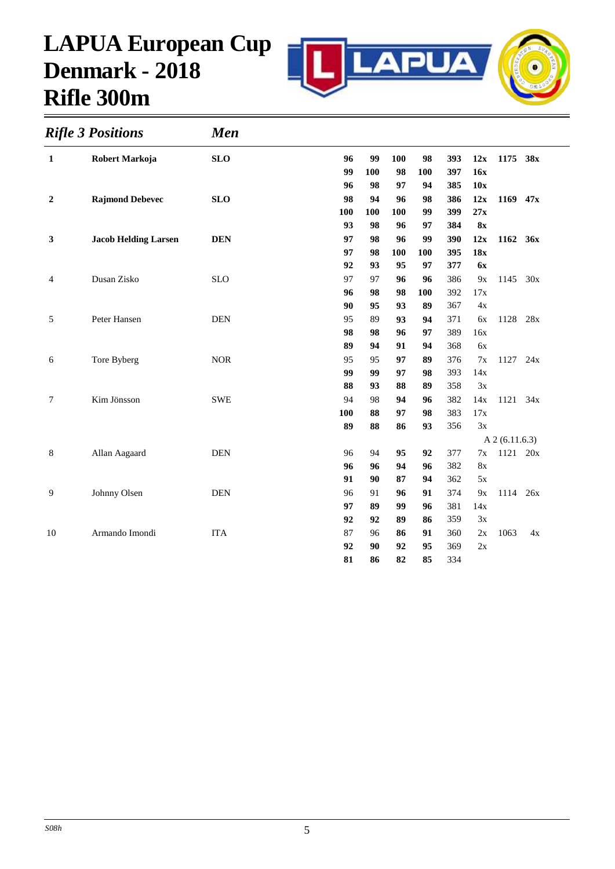

|                  | <b>Rifle 3 Positions</b>    | <b>Men</b> |     |     |     |     |     |               |                |     |  |
|------------------|-----------------------------|------------|-----|-----|-----|-----|-----|---------------|----------------|-----|--|
| 1                | Robert Markoja              | <b>SLO</b> | 96  | 99  | 100 | 98  | 393 | 12x           | 1175 38x       |     |  |
|                  |                             |            | 99  | 100 | 98  | 100 | 397 | 16x           |                |     |  |
|                  |                             |            | 96  | 98  | 97  | 94  | 385 | 10x           |                |     |  |
| $\boldsymbol{2}$ | <b>Rajmond Debevec</b>      | <b>SLO</b> | 98  | 94  | 96  | 98  | 386 | 12x           | 1169           | 47x |  |
|                  |                             |            | 100 | 100 | 100 | 99  | 399 | 27x           |                |     |  |
|                  |                             |            | 93  | 98  | 96  | 97  | 384 | 8x            |                |     |  |
| 3                | <b>Jacob Helding Larsen</b> | <b>DEN</b> | 97  | 98  | 96  | 99  | 390 | 12x           | 1162           | 36x |  |
|                  |                             |            | 97  | 98  | 100 | 100 | 395 | 18x           |                |     |  |
|                  |                             |            | 92  | 93  | 95  | 97  | 377 | <b>6x</b>     |                |     |  |
| 4                | Dusan Zisko                 | <b>SLO</b> | 97  | 97  | 96  | 96  | 386 | 9x            | 1145           | 30x |  |
|                  |                             |            | 96  | 98  | 98  | 100 | 392 | 17x           |                |     |  |
|                  |                             |            | 90  | 95  | 93  | 89  | 367 | 4x            |                |     |  |
| 5                | Peter Hansen                | <b>DEN</b> | 95  | 89  | 93  | 94  | 371 | 6x            | 1128           | 28x |  |
|                  |                             |            | 98  | 98  | 96  | 97  | 389 | 16x           |                |     |  |
|                  |                             |            | 89  | 94  | 91  | 94  | 368 | 6x            |                |     |  |
| 6                | Tore Byberg                 | <b>NOR</b> | 95  | 95  | 97  | 89  | 376 | 7x            | 1127           | 24x |  |
|                  |                             |            | 99  | 99  | 97  | 98  | 393 | 14x           |                |     |  |
|                  |                             |            | 88  | 93  | 88  | 89  | 358 | 3x            |                |     |  |
| $\tau$           | Kim Jönsson                 | <b>SWE</b> | 94  | 98  | 94  | 96  | 382 | 14x           | 1121           | 34x |  |
|                  |                             |            | 100 | 88  | 97  | 98  | 383 | 17x           |                |     |  |
|                  |                             |            | 89  | 88  | 86  | 93  | 356 | 3x            |                |     |  |
|                  |                             |            |     |     |     |     |     |               | A 2 (6.11.6.3) |     |  |
| 8                | Allan Aagaard               | <b>DEN</b> | 96  | 94  | 95  | 92  | 377 | 7x            | 1121           | 20x |  |
|                  |                             |            | 96  | 96  | 94  | 96  | 382 | $8\mathrm{x}$ |                |     |  |
|                  |                             |            | 91  | 90  | 87  | 94  | 362 | 5x            |                |     |  |
| 9                | Johnny Olsen                | <b>DEN</b> | 96  | 91  | 96  | 91  | 374 | 9x            | 1114           | 26x |  |
|                  |                             |            | 97  | 89  | 99  | 96  | 381 | 14x           |                |     |  |
|                  |                             |            | 92  | 92  | 89  | 86  | 359 | 3x            |                |     |  |
| 10               | Armando Imondi              | <b>ITA</b> | 87  | 96  | 86  | 91  | 360 | 2x            | 1063           | 4x  |  |
|                  |                             |            | 92  | 90  | 92  | 95  | 369 | 2x            |                |     |  |
|                  |                             |            | 81  | 86  | 82  | 85  | 334 |               |                |     |  |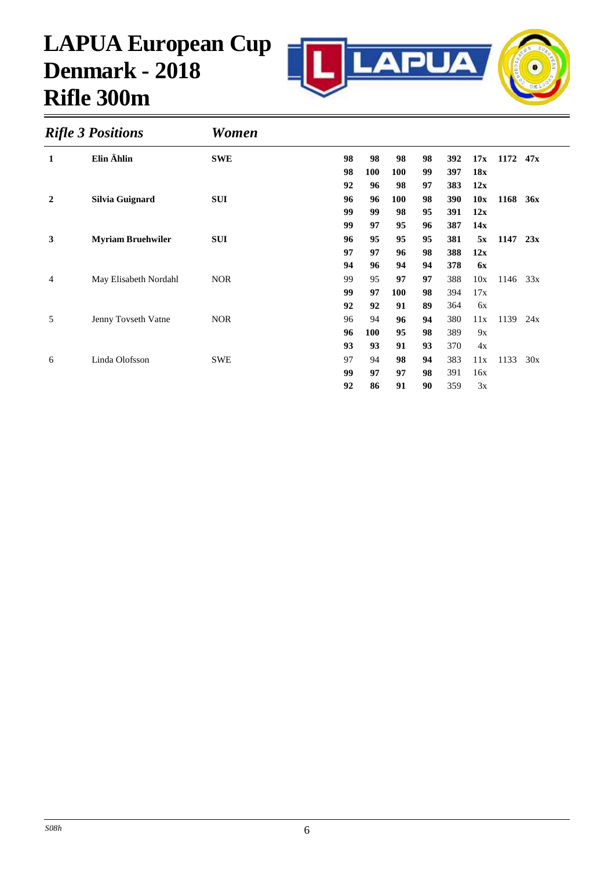

|                  | <b>Rifle 3 Positions</b> | Women      |    |     |     |    |     |           |      |     |  |
|------------------|--------------------------|------------|----|-----|-----|----|-----|-----------|------|-----|--|
| 1                | Elin Ählin               | <b>SWE</b> | 98 | 98  | 98  | 98 | 392 | 17x       | 1172 | 47x |  |
|                  |                          |            | 98 | 100 | 100 | 99 | 397 | 18x       |      |     |  |
|                  |                          |            | 92 | 96  | 98  | 97 | 383 | 12x       |      |     |  |
| $\boldsymbol{2}$ | Silvia Guignard          | <b>SUI</b> | 96 | 96  | 100 | 98 | 390 | 10x       | 1168 | 36x |  |
|                  |                          |            | 99 | 99  | 98  | 95 | 391 | 12x       |      |     |  |
|                  |                          |            | 99 | 97  | 95  | 96 | 387 | 14x       |      |     |  |
| 3                | <b>Myriam Bruehwiler</b> | <b>SUI</b> | 96 | 95  | 95  | 95 | 381 | 5x        | 1147 | 23x |  |
|                  |                          |            | 97 | 97  | 96  | 98 | 388 | 12x       |      |     |  |
|                  |                          |            | 94 | 96  | 94  | 94 | 378 | <b>6x</b> |      |     |  |
| $\overline{4}$   | May Elisabeth Nordahl    | <b>NOR</b> | 99 | 95  | 97  | 97 | 388 | 10x       | 1146 | 33x |  |
|                  |                          |            | 99 | 97  | 100 | 98 | 394 | 17x       |      |     |  |
|                  |                          |            | 92 | 92  | 91  | 89 | 364 | 6x        |      |     |  |
| 5                | Jenny Tovseth Vatne      | <b>NOR</b> | 96 | 94  | 96  | 94 | 380 | 11x       | 1139 | 24x |  |
|                  |                          |            | 96 | 100 | 95  | 98 | 389 | 9x        |      |     |  |
|                  |                          |            | 93 | 93  | 91  | 93 | 370 | 4x        |      |     |  |
| 6                | Linda Olofsson           | <b>SWE</b> | 97 | 94  | 98  | 94 | 383 | 11x       | 1133 | 30x |  |
|                  |                          |            | 99 | 97  | 97  | 98 | 391 | 16x       |      |     |  |
|                  |                          |            | 92 | 86  | 91  | 90 | 359 | 3x        |      |     |  |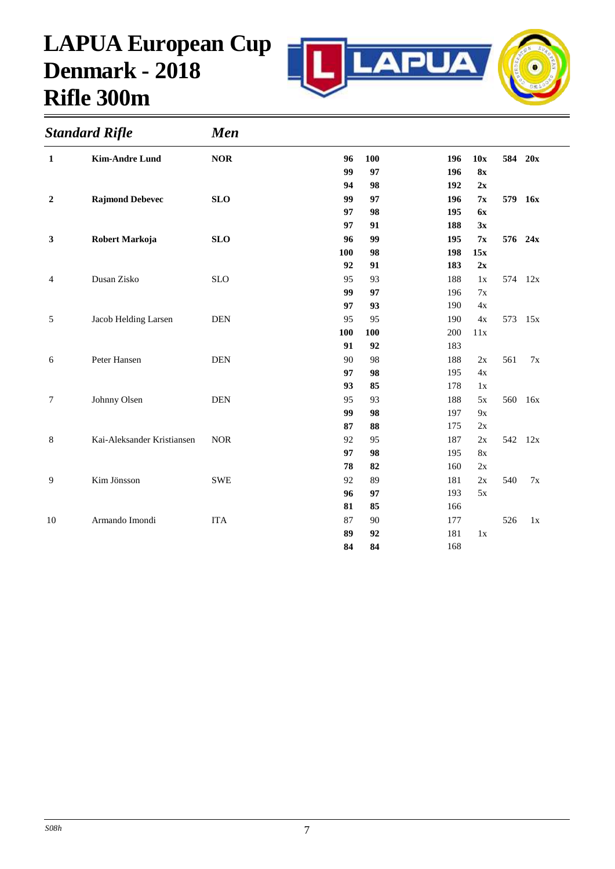

| <b>Standard Rifle</b> |                            | <b>Men</b> |     |     |     |           |     |         |  |
|-----------------------|----------------------------|------------|-----|-----|-----|-----------|-----|---------|--|
| $\mathbf{1}$          | <b>Kim-Andre Lund</b>      | $NOR$      | 96  | 100 | 196 | 10x       |     | 584 20x |  |
|                       |                            |            | 99  | 97  | 196 | 8x        |     |         |  |
|                       |                            |            | 94  | 98  | 192 | 2x        |     |         |  |
| $\boldsymbol{2}$      | <b>Rajmond Debevec</b>     | <b>SLO</b> | 99  | 97  | 196 | 7x        |     | 579 16x |  |
|                       |                            |            | 97  | 98  | 195 | <b>6x</b> |     |         |  |
|                       |                            |            | 97  | 91  | 188 | 3x        |     |         |  |
| 3                     | Robert Markoja             | <b>SLO</b> | 96  | 99  | 195 | 7x        |     | 576 24x |  |
|                       |                            |            | 100 | 98  | 198 | 15x       |     |         |  |
|                       |                            |            | 92  | 91  | 183 | 2x        |     |         |  |
| $\overline{4}$        | Dusan Zisko                | <b>SLO</b> | 95  | 93  | 188 | 1x        |     | 574 12x |  |
|                       |                            |            | 99  | 97  | 196 | 7x        |     |         |  |
|                       |                            |            | 97  | 93  | 190 | 4x        |     |         |  |
| 5                     | Jacob Helding Larsen       | <b>DEN</b> | 95  | 95  | 190 | 4x        |     | 573 15x |  |
|                       |                            |            | 100 | 100 | 200 | 11x       |     |         |  |
|                       |                            |            | 91  | 92  | 183 |           |     |         |  |
| 6                     | Peter Hansen               | <b>DEN</b> | 90  | 98  | 188 | 2x        | 561 | 7x      |  |
|                       |                            |            | 97  | 98  | 195 | 4x        |     |         |  |
|                       |                            |            | 93  | 85  | 178 | 1x        |     |         |  |
| 7                     | Johnny Olsen               | <b>DEN</b> | 95  | 93  | 188 | $5x$      | 560 | 16x     |  |
|                       |                            |            | 99  | 98  | 197 | 9x        |     |         |  |
|                       |                            |            | 87  | 88  | 175 | 2x        |     |         |  |
| 8                     | Kai-Aleksander Kristiansen | <b>NOR</b> | 92  | 95  | 187 | 2x        |     | 542 12x |  |
|                       |                            |            | 97  | 98  | 195 | <b>8x</b> |     |         |  |
|                       |                            |            | 78  | 82  | 160 | 2x        |     |         |  |
| 9                     | Kim Jönsson                | <b>SWE</b> | 92  | 89  | 181 | 2x        | 540 | 7x      |  |
|                       |                            |            | 96  | 97  | 193 | 5x        |     |         |  |
|                       |                            |            | 81  | 85  | 166 |           |     |         |  |
| 10                    | Armando Imondi             | <b>ITA</b> | 87  | 90  | 177 |           | 526 | 1x      |  |
|                       |                            |            | 89  | 92  | 181 | 1x        |     |         |  |
|                       |                            |            | 84  | 84  | 168 |           |     |         |  |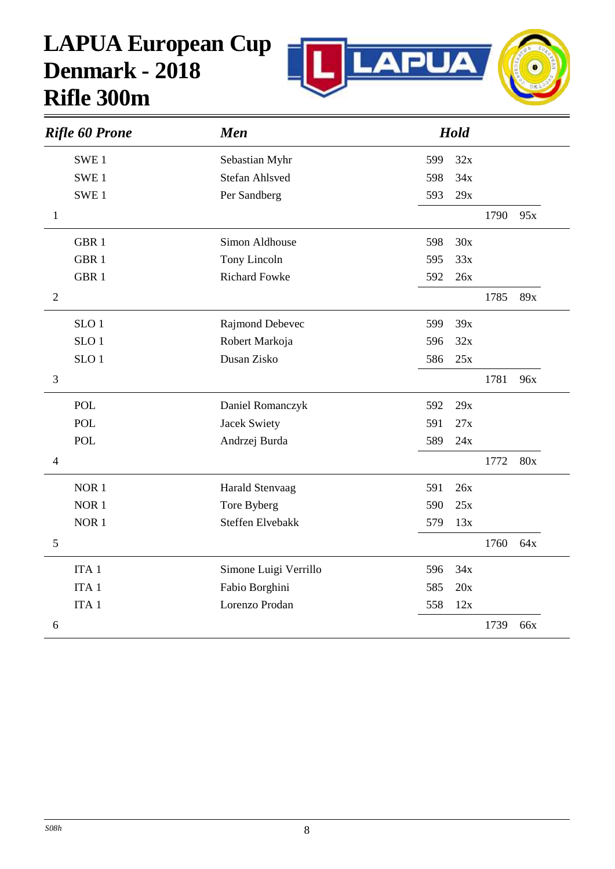

|                | <b>Rifle 60 Prone</b> | <b>Men</b>              |     | Hold |      |     |
|----------------|-----------------------|-------------------------|-----|------|------|-----|
|                | SWE <sub>1</sub>      | Sebastian Myhr          | 599 | 32x  |      |     |
|                | SWE <sub>1</sub>      | <b>Stefan Ahlsved</b>   | 598 | 34x  |      |     |
|                | SWE <sub>1</sub>      | Per Sandberg            | 593 | 29x  |      |     |
| $\mathbf{1}$   |                       |                         |     |      | 1790 | 95x |
|                | GBR <sub>1</sub>      | Simon Aldhouse          | 598 | 30x  |      |     |
|                | GBR <sub>1</sub>      | Tony Lincoln            | 595 | 33x  |      |     |
|                | GBR <sub>1</sub>      | <b>Richard Fowke</b>    | 592 | 26x  |      |     |
| $\sqrt{2}$     |                       |                         |     |      | 1785 | 89x |
|                | SLO <sub>1</sub>      | Rajmond Debevec         | 599 | 39x  |      |     |
|                | SLO <sub>1</sub>      | Robert Markoja          | 596 | 32x  |      |     |
|                | SLO <sub>1</sub>      | Dusan Zisko             | 586 | 25x  |      |     |
| $\mathfrak{Z}$ |                       |                         |     |      | 1781 | 96x |
|                | <b>POL</b>            | Daniel Romanczyk        | 592 | 29x  |      |     |
|                | <b>POL</b>            | <b>Jacek Swiety</b>     | 591 | 27x  |      |     |
|                | <b>POL</b>            | Andrzej Burda           | 589 | 24x  |      |     |
| $\overline{4}$ |                       |                         |     |      | 1772 | 80x |
|                | NOR <sub>1</sub>      | Harald Stenvaag         | 591 | 26x  |      |     |
|                | NOR <sub>1</sub>      | Tore Byberg             | 590 | 25x  |      |     |
|                | NOR <sub>1</sub>      | <b>Steffen Elvebakk</b> | 579 | 13x  |      |     |
| $\mathfrak s$  |                       |                         |     |      | 1760 | 64x |
|                | ITA <sub>1</sub>      | Simone Luigi Verrillo   | 596 | 34x  |      |     |
|                | ITA <sub>1</sub>      | Fabio Borghini          | 585 | 20x  |      |     |
|                | ITA <sub>1</sub>      | Lorenzo Prodan          | 558 | 12x  |      |     |
| 6              |                       |                         |     |      | 1739 | 66x |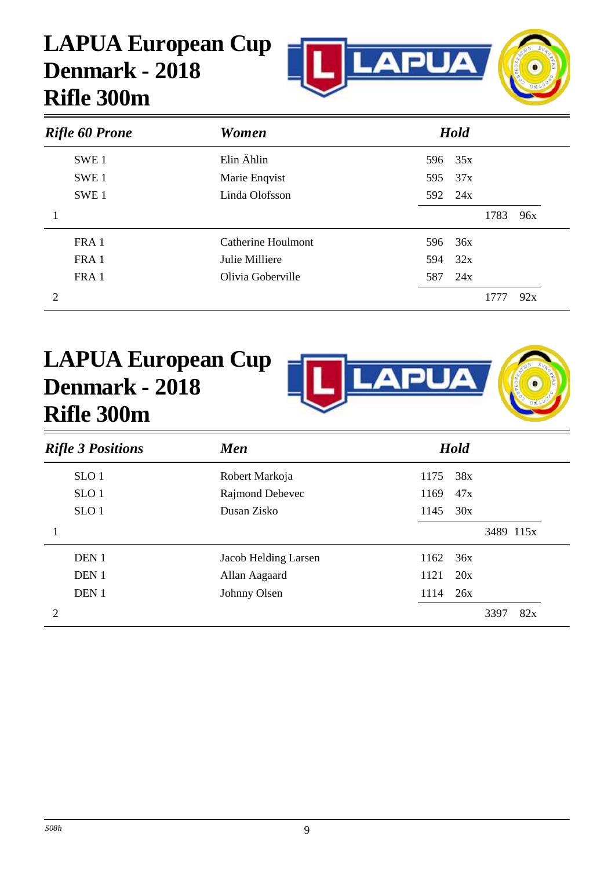

| <b>Rifle 60 Prone</b> | <b>Women</b>       | <b>Hold</b> |             |
|-----------------------|--------------------|-------------|-------------|
| SWE <sub>1</sub>      | Elin Ählin         | 35x<br>596  |             |
| SWE <sub>1</sub>      | Marie Enqvist      | 37x<br>595  |             |
| SWE <sub>1</sub>      | Linda Olofsson     | 592 24x     |             |
|                       |                    |             | 1783<br>96x |
| FRA 1                 | Catherine Houlmont | 36x<br>596  |             |
| FRA 1                 | Julie Milliere     | 32x<br>594  |             |
| FRA 1                 | Olivia Goberville  | 587<br>24x  |             |
| 2                     |                    |             | 92x<br>1777 |



| <b>Rifle 3 Positions</b> | <b>Men</b>           | <b>Hold</b> |
|--------------------------|----------------------|-------------|
| SLO <sub>1</sub>         | Robert Markoja       | 38x<br>1175 |
| SLO <sub>1</sub>         | Rajmond Debevec      | 1169<br>47x |
| SLO <sub>1</sub>         | Dusan Zisko          | 1145<br>30x |
|                          |                      | 3489 115x   |
| DEN <sub>1</sub>         | Jacob Helding Larsen | 1162<br>36x |
| DEN <sub>1</sub>         | Allan Aagaard        | 1121<br>20x |
| DEN <sub>1</sub>         | Johnny Olsen         | 1114<br>26x |
|                          |                      | 3397<br>82x |